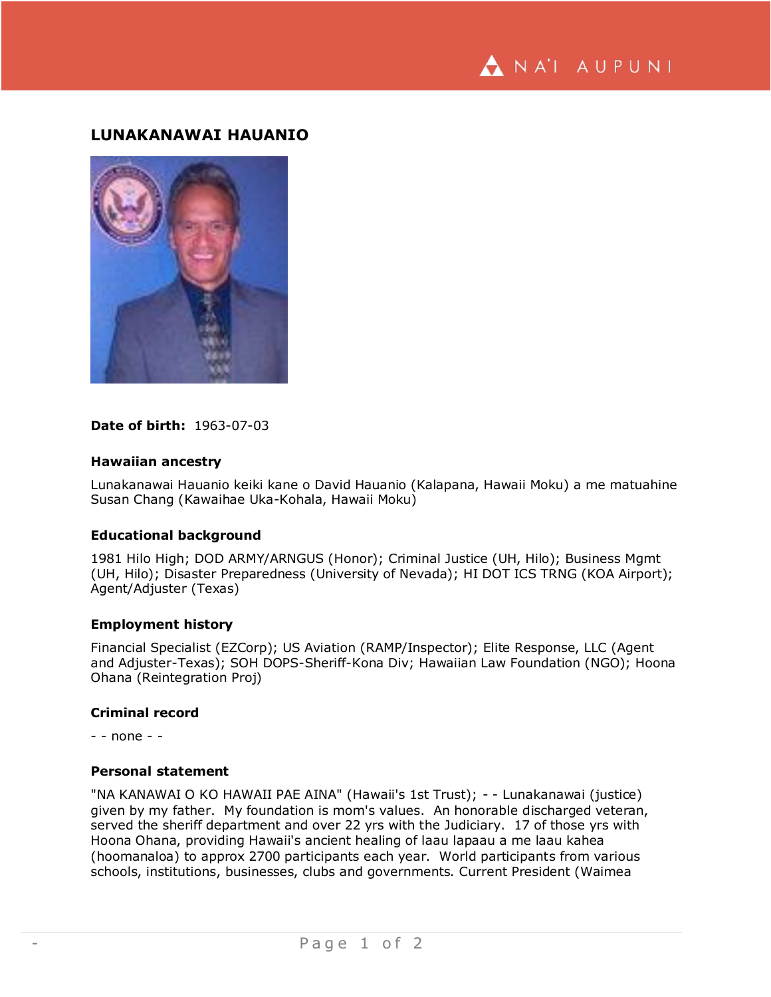NA'I AUPUNI

# **LUNAKANAWAI HAUANIO**



# **Date of birth:** 1963-07-03

### **Hawaiian ancestry**

Lunakanawai Hauanio keiki kane o David Hauanio (Kalapana, Hawaii Moku) a me matuahine Susan Chang (Kawaihae Uka-Kohala, Hawaii Moku)

### **Educational background**

1981 Hilo High; DOD ARMY/ARNGUS (Honor); Criminal Justice (UH, Hilo); Business Mgmt (UH, Hilo); Disaster Preparedness (University of Nevada); HI DOT ICS TRNG (KOA Airport); Agent/Adjuster (Texas)

#### **Employment history**

Financial Specialist (EZCorp); US Aviation (RAMP/Inspector); Elite Response, LLC (Agent and Adjuster-Texas); SOH DOPS-Sheriff-Kona Div; Hawaiian Law Foundation (NGO); Hoona Ohana (Reintegration Proj)

# **Criminal record**

- - none - -

#### **Personal statement**

"NA KANAWAI O KO HAWAII PAE AINA" (Hawaii's 1st Trust); - - Lunakanawai (justice) given by my father. My foundation is mom's values. An honorable discharged veteran, served the sheriff department and over 22 yrs with the Judiciary. 17 of those yrs with Hoona Ohana, providing Hawaii's ancient healing of laau lapaau a me laau kahea (hoomanaloa) to approx 2700 participants each year. World participants from various schools, institutions, businesses, clubs and governments. Current President (Waimea